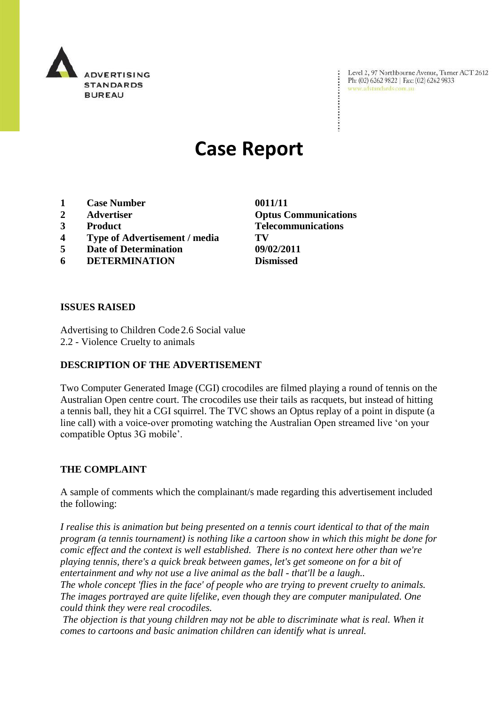

Level 2, 97 Northbourne Avenue, Turner ACT 2612 Ph: (02) 6262 9822 | Fax: (02) 6262 9833 www.adstandards.com.au

# **Case Report**

- **1 Case Number 0011/11**
- 
- 
- **4 Type of Advertisement / media TV**
- **5 Date of Determination 09/02/2011**
- **6 DETERMINATION Dismissed**

**ISSUES RAISED**

Advertising to Children Code 2.6 Social value 2.2 - Violence Cruelty to animals

## **DESCRIPTION OF THE ADVERTISEMENT**

Two Computer Generated Image (CGI) crocodiles are filmed playing a round of tennis on the Australian Open centre court. The crocodiles use their tails as racquets, but instead of hitting a tennis ball, they hit a CGI squirrel. The TVC shows an Optus replay of a point in dispute (a line call) with a voice-over promoting watching the Australian Open streamed live 'on your compatible Optus 3G mobile'.

#### **THE COMPLAINT**

A sample of comments which the complainant/s made regarding this advertisement included the following:

*I realise this is animation but being presented on a tennis court identical to that of the main program (a tennis tournament) is nothing like a cartoon show in which this might be done for comic effect and the context is well established. There is no context here other than we're playing tennis, there's a quick break between games, let's get someone on for a bit of entertainment and why not use a live animal as the ball - that'll be a laugh..*

*The whole concept 'flies in the face' of people who are trying to prevent cruelty to animals. The images portrayed are quite lifelike, even though they are computer manipulated. One could think they were real crocodiles.*

*The objection is that young children may not be able to discriminate what is real. When it comes to cartoons and basic animation children can identify what is unreal.*

**2 Advertiser Optus Communications 3 Product Telecommunications**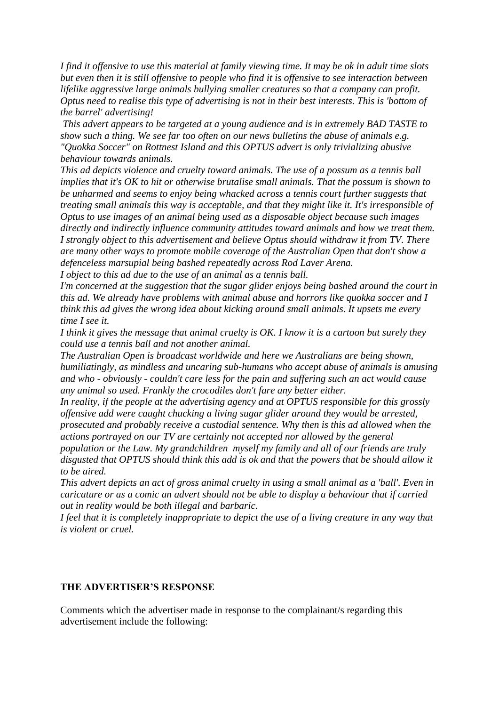*I find it offensive to use this material at family viewing time. It may be ok in adult time slots but even then it is still offensive to people who find it is offensive to see interaction between lifelike aggressive large animals bullying smaller creatures so that a company can profit. Optus need to realise this type of advertising is not in their best interests. This is 'bottom of the barrel' advertising!*

*This advert appears to be targeted at a young audience and is in extremely BAD TASTE to show such a thing. We see far too often on our news bulletins the abuse of animals e.g. "Quokka Soccer" on Rottnest Island and this OPTUS advert is only trivializing abusive behaviour towards animals.*

*This ad depicts violence and cruelty toward animals. The use of a possum as a tennis ball implies that it's OK to hit or otherwise brutalise small animals. That the possum is shown to be unharmed and seems to enjoy being whacked across a tennis court further suggests that treating small animals this way is acceptable, and that they might like it. It's irresponsible of Optus to use images of an animal being used as a disposable object because such images directly and indirectly influence community attitudes toward animals and how we treat them. I strongly object to this advertisement and believe Optus should withdraw it from TV. There are many other ways to promote mobile coverage of the Australian Open that don't show a defenceless marsupial being bashed repeatedly across Rod Laver Arena.*

*I object to this ad due to the use of an animal as a tennis ball.* 

*I'm concerned at the suggestion that the sugar glider enjoys being bashed around the court in this ad. We already have problems with animal abuse and horrors like quokka soccer and I think this ad gives the wrong idea about kicking around small animals. It upsets me every time I see it.* 

*I think it gives the message that animal cruelty is OK. I know it is a cartoon but surely they could use a tennis ball and not another animal.*

*The Australian Open is broadcast worldwide and here we Australians are being shown, humiliatingly, as mindless and uncaring sub-humans who accept abuse of animals is amusing and who - obviously - couldn't care less for the pain and suffering such an act would cause any animal so used. Frankly the crocodiles don't fare any better either.*

*In reality, if the people at the advertising agency and at OPTUS responsible for this grossly offensive add were caught chucking a living sugar glider around they would be arrested, prosecuted and probably receive a custodial sentence. Why then is this ad allowed when the actions portrayed on our TV are certainly not accepted nor allowed by the general* 

*population or the Law. My grandchildren myself my family and all of our friends are truly disgusted that OPTUS should think this add is ok and that the powers that be should allow it to be aired.* 

*This advert depicts an act of gross animal cruelty in using a small animal as a 'ball'. Even in caricature or as a comic an advert should not be able to display a behaviour that if carried out in reality would be both illegal and barbaric.*

*I feel that it is completely inappropriate to depict the use of a living creature in any way that is violent or cruel.*

#### **THE ADVERTISER'S RESPONSE**

Comments which the advertiser made in response to the complainant/s regarding this advertisement include the following: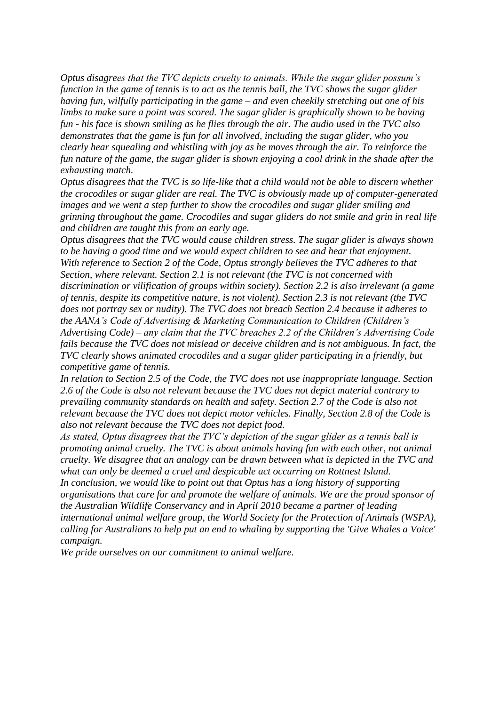*Optus disagrees that the TVC depicts cruelty to animals. While the sugar glider possum's function in the game of tennis is to act as the tennis ball, the TVC shows the sugar glider having fun, wilfully participating in the game – and even cheekily stretching out one of his limbs to make sure a point was scored. The sugar glider is graphically shown to be having fun - his face is shown smiling as he flies through the air. The audio used in the TVC also demonstrates that the game is fun for all involved, including the sugar glider, who you clearly hear squealing and whistling with joy as he moves through the air. To reinforce the fun nature of the game, the sugar glider is shown enjoying a cool drink in the shade after the exhausting match.*

*Optus disagrees that the TVC is so life-like that a child would not be able to discern whether the crocodiles or sugar glider are real. The TVC is obviously made up of computer-generated images and we went a step further to show the crocodiles and sugar glider smiling and grinning throughout the game. Crocodiles and sugar gliders do not smile and grin in real life and children are taught this from an early age.*

*Optus disagrees that the TVC would cause children stress. The sugar glider is always shown to be having a good time and we would expect children to see and hear that enjoyment. With reference to Section 2 of the Code, Optus strongly believes the TVC adheres to that Section, where relevant. Section 2.1 is not relevant (the TVC is not concerned with discrimination or vilification of groups within society). Section 2.2 is also irrelevant (a game of tennis, despite its competitive nature, is not violent). Section 2.3 is not relevant (the TVC does not portray sex or nudity). The TVC does not breach Section 2.4 because it adheres to the AANA's Code of Advertising & Marketing Communication to Children (Children's Advertising Code) – any claim that the TVC breaches 2.2 of the Children's Advertising Code fails because the TVC does not mislead or deceive children and is not ambiguous. In fact, the TVC clearly shows animated crocodiles and a sugar glider participating in a friendly, but competitive game of tennis.* 

*In relation to Section 2.5 of the Code, the TVC does not use inappropriate language. Section 2.6 of the Code is also not relevant because the TVC does not depict material contrary to prevailing community standards on health and safety. Section 2.7 of the Code is also not relevant because the TVC does not depict motor vehicles. Finally, Section 2.8 of the Code is also not relevant because the TVC does not depict food.*

*As stated, Optus disagrees that the TVC's depiction of the sugar glider as a tennis ball is promoting animal cruelty. The TVC is about animals having fun with each other, not animal cruelty. We disagree that an analogy can be drawn between what is depicted in the TVC and what can only be deemed a cruel and despicable act occurring on Rottnest Island. In conclusion, we would like to point out that Optus has a long history of supporting organisations that care for and promote the welfare of animals. We are the proud sponsor of the Australian Wildlife Conservancy and in April 2010 became a partner of leading international animal welfare group, the World Society for the Protection of Animals (WSPA), calling for Australians to help put an end to whaling by supporting the 'Give Whales a Voice' campaign.*

*We pride ourselves on our commitment to animal welfare.*